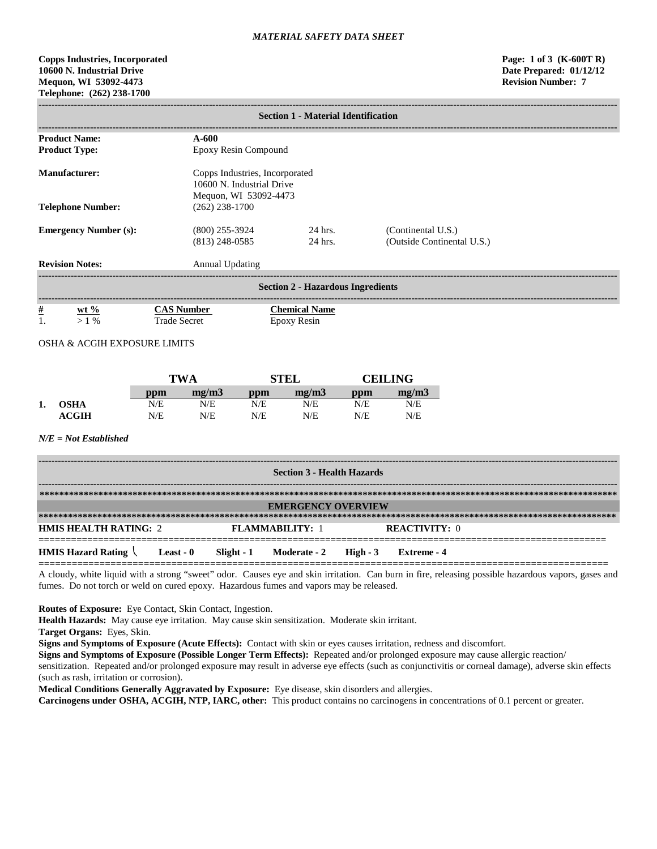# **Copps Industries, Incorporated Page: 1 of 3 (K-600T R) 10600 N. Industrial Drive Date Prepared: 01/12/12 Mequon, WI 53092-4473 Revision Number: 7 Telephone: (262) 238-1700**

|                                                          | <b>Section 1 - Material Identification</b> |                     |                                                                                      |                      |                                            |                |                                                  |  |
|----------------------------------------------------------|--------------------------------------------|---------------------|--------------------------------------------------------------------------------------|----------------------|--------------------------------------------|----------------|--------------------------------------------------|--|
| <b>Product Name:</b><br><b>Product Type:</b>             |                                            |                     | $A-600$                                                                              | Epoxy Resin Compound |                                            |                |                                                  |  |
| <b>Manufacturer:</b>                                     |                                            |                     | Copps Industries, Incorporated<br>10600 N. Industrial Drive<br>Mequon, WI 53092-4473 |                      |                                            |                |                                                  |  |
| <b>Telephone Number:</b><br><b>Emergency Number (s):</b> |                                            |                     | $(262)$ 238-1700<br>$(800)$ 255-3924<br>$(813)$ 248-0585                             |                      | 24 hrs.<br>24 hrs.                         |                | (Continental U.S.)<br>(Outside Continental U.S.) |  |
|                                                          | <b>Revision Notes:</b><br>Annual Updating  |                     |                                                                                      |                      |                                            |                |                                                  |  |
|                                                          |                                            |                     |                                                                                      |                      | <b>Section 2 - Hazardous Ingredients</b>   |                |                                                  |  |
| $\frac{\#}{1}$                                           | $ext{w}t\%$<br>$> 1\%$                     | <b>Trade Secret</b> | <b>CAS Number</b>                                                                    |                      | <b>Chemical Name</b><br><b>Epoxy Resin</b> |                |                                                  |  |
|                                                          | OSHA & ACGIH EXPOSURE LIMITS               |                     |                                                                                      |                      |                                            |                |                                                  |  |
| <b>TWA</b>                                               |                                            |                     |                                                                                      | <b>STEL</b>          |                                            | <b>CEILING</b> |                                                  |  |
|                                                          |                                            | ppm                 | mg/m3                                                                                | ppm                  | mg/m3                                      | ppm            | mg/m3                                            |  |
| 1.                                                       | <b>OSHA</b><br><b>ACGIH</b>                | N/E<br>N/E          | N/E<br>N/E                                                                           | N/E<br>N/E           | N/E<br>N/E                                 | N/E<br>N/E     | N/E<br>N/E                                       |  |
|                                                          | $N/E = Not$ Established                    |                     |                                                                                      |                      |                                            |                |                                                  |  |

| <b>Section 3 - Health Hazards</b>              |           |  |                                  |  |                      |  |  |
|------------------------------------------------|-----------|--|----------------------------------|--|----------------------|--|--|
|                                                |           |  |                                  |  |                      |  |  |
| <b>EMERGENCY OVERVIEW</b>                      |           |  |                                  |  |                      |  |  |
|                                                |           |  |                                  |  |                      |  |  |
| <b>HMIS HEALTH RATING: 2</b>                   |           |  | <b>FLAMMARILITY: 1</b>           |  | <b>REACTIVITY: 0</b> |  |  |
| <b>HMIS Hazard Rating <math>\langle</math></b> | Least - 0 |  | Slight - 1 Moderate - 2 High - 3 |  | Extreme - 4          |  |  |

A cloudy, white liquid with a strong "sweet" odor. Causes eye and skin irritation. Can burn in fire, releasing possible hazardous vapors, gases and fumes. Do not torch or weld on cured epoxy. Hazardous fumes and vapors may be released.

**Routes of Exposure:** Eye Contact, Skin Contact, Ingestion.

**Health Hazards:** May cause eye irritation. May cause skin sensitization. Moderate skin irritant.

**Target Organs:** Eyes, Skin.

**Signs and Symptoms of Exposure (Acute Effects):** Contact with skin or eyes causes irritation, redness and discomfort.

**Signs and Symptoms of Exposure (Possible Longer Term Effects):** Repeated and/or prolonged exposure may cause allergic reaction/ sensitization. Repeated and/or prolonged exposure may result in adverse eye effects (such as conjunctivitis or corneal damage), adverse skin effects (such as rash, irritation or corrosion).

**Medical Conditions Generally Aggravated by Exposure:** Eye disease, skin disorders and allergies.

**Carcinogens under OSHA, ACGIH, NTP, IARC, other:** This product contains no carcinogens in concentrations of 0.1 percent or greater.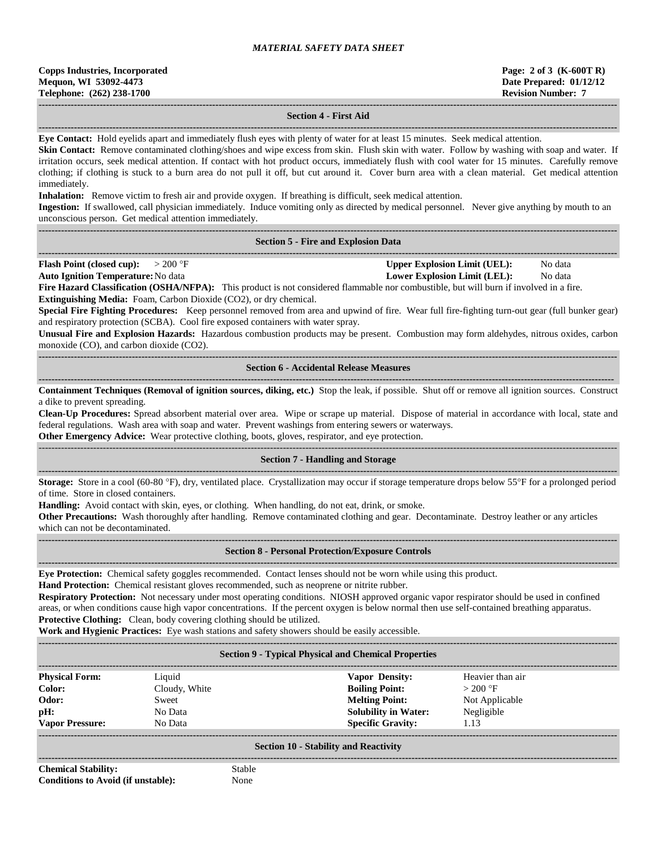| <b>Copps Industries, Incorporated</b> |
|---------------------------------------|
| Mequon, WI 53092-4473                 |
| Telephone: (262) 238-1700             |

### **------------------------------------------------------------------------------------------------------------------------------------------------------------------------------------ Section 4 - First Aid**

**------------------------------------------------------------------------------------------------------------------------------------------------------------------------------------ Eye Contact:** Hold eyelids apart and immediately flush eyes with plenty of water for at least 15 minutes. Seek medical attention.

**Skin Contact:** Remove contaminated clothing/shoes and wipe excess from skin. Flush skin with water. Follow by washing with soap and water. If irritation occurs, seek medical attention. If contact with hot product occurs, immediately flush with cool water for 15 minutes. Carefully remove clothing; if clothing is stuck to a burn area do not pull it off, but cut around it. Cover burn area with a clean material. Get medical attention immediately.

**Inhalation:** Remove victim to fresh air and provide oxygen. If breathing is difficult, seek medical attention.

**Ingestion:** If swallowed, call physician immediately. Induce vomiting only as directed by medical personnel. Never give anything by mouth to an unconscious person. Get medical attention immediately.

#### **------------------------------------------------------------------------------------------------------------------------------------------------------------------------------------ Section 5 - Fire and Explosion Data**

**------------------------------------------------------------------------------------------------------------------------------------------------------------------------------------ Flash Point (closed cup):**  $> 200 \text{ }^{\circ}\text{F}$  **Upper Explosion Limit (UEL):** No data

**Auto Ignition Temperature:**No data **Lower Explosion Limit (LEL):** No data

**Fire Hazard Classification (OSHA/NFPA):** This product is not considered flammable nor combustible, but will burn if involved in a fire. **Extinguishing Media:** Foam, Carbon Dioxide (CO2), or dry chemical.

**Special Fire Fighting Procedures:** Keep personnel removed from area and upwind of fire. Wear full fire-fighting turn-out gear (full bunker gear) and respiratory protection (SCBA). Cool fire exposed containers with water spray.

**Unusual Fire and Explosion Hazards:** Hazardous combustion products may be present. Combustion may form aldehydes, nitrous oxides, carbon monoxide (CO), and carbon dioxide (CO2).

**------------------------------------------------------------------------------------------------------------------------------------------------------------------------------------ Section 6 - Accidental Release Measures**

**----------------------------------------------------------------------------------------------------------------------------------------------------------------------------------- Containment Techniques (Removal of ignition sources, diking, etc.)** Stop the leak, if possible. Shut off or remove all ignition sources. Construct a dike to prevent spreading.

**Clean-Up Procedures:** Spread absorbent material over area. Wipe or scrape up material. Dispose of material in accordance with local, state and federal regulations. Wash area with soap and water. Prevent washings from entering sewers or waterways.

**Other Emergency Advice:** Wear protective clothing, boots, gloves, respirator, and eye protection.

#### ------------------------------------------------------------------------------------------------------------------------------------------------------------------------------------ **Section 7 - Handling and Storage**

**------------------------------------------------------------------------------------------------------------------------------------------------------------------------------------ Storage:** Store in a cool (60-80 °F), dry, ventilated place. Crystallization may occur if storage temperature drops below 55°F for a prolonged period of time. Store in closed containers.

**Handling:** Avoid contact with skin, eyes, or clothing. When handling, do not eat, drink, or smoke.

**Other Precautions:** Wash thoroughly after handling. Remove contaminated clothing and gear. Decontaminate. Destroy leather or any articles which can not be decontaminated.

**------------------------------------------------------------------------------------------------------------------------------------------------------------------------------------**

#### **------------------------------------------------------------------------------------------------------------------------------------------------------------------------------------ Section 8 - Personal Protection/Exposure Controls**

**Eye Protection:** Chemical safety goggles recommended. Contact lenses should not be worn while using this product.

**Hand Protection:** Chemical resistant gloves recommended, such as neoprene or nitrite rubber.

**Respiratory Protection:** Not necessary under most operating conditions. NIOSH approved organic vapor respirator should be used in confined areas, or when conditions cause high vapor concentrations. If the percent oxygen is below normal then use self-contained breathing apparatus. **Protective Clothing:** Clean, body covering clothing should be utilized.

**Work and Hygienic Practices:** Eye wash stations and safety showers should be easily accessible.

**------------------------------------------------------------------------------------------------------------------------------------------------------------------------------------**

## **Section 9 - Typical Physical and Chemical Properties**

| <b>Physical Form:</b>  | Liquid        | <b>Vapor Density:</b>       | Heavier than air |
|------------------------|---------------|-----------------------------|------------------|
| Color:                 | Cloudy, White | <b>Boiling Point:</b>       | $>200$ °F        |
| Odor:                  | Sweet         | <b>Melting Point:</b>       | Not Applicable   |
| pH:                    | No Data       | <b>Solubility in Water:</b> | Negligible       |
| <b>Vapor Pressure:</b> | No Data       | <b>Specific Gravity:</b>    | 1.13             |
|                        |               |                             |                  |

### **Section 10 - Stability and Reactivity ------------------------------------------------------------------------------------------------------------------------------------------------------------------------------------**

**Chemical Stability:** Stable **Conditions to Avoid (if unstable):** None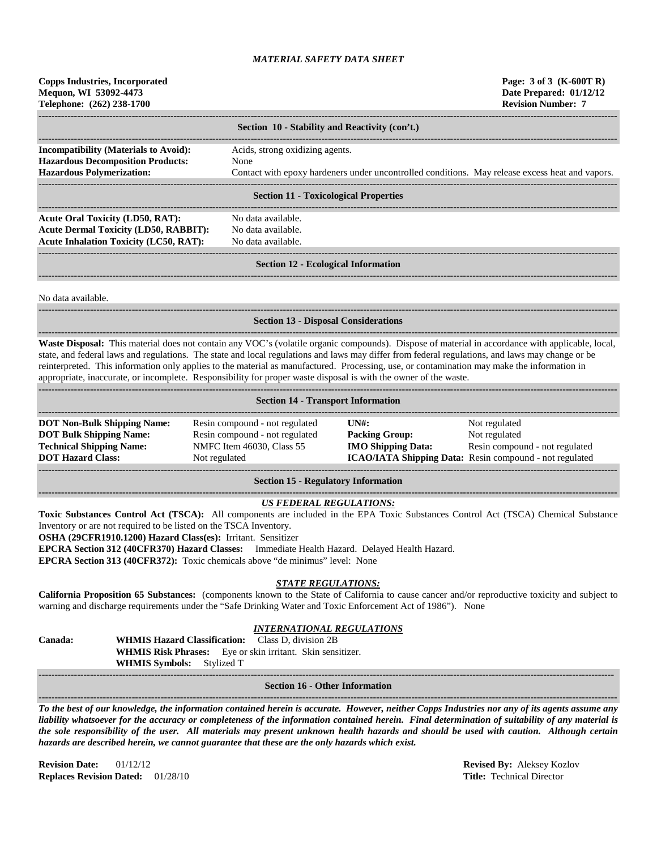| <b>Copps Industries, Incorporated</b><br>Mequon, WI 53092-4473<br>Telephone: (262) 238-1700                                                                                                                                                                                                                                                                                                                                                                                                                                                                             |                                                                                                                |                                                            | Page: 3 of 3 (K-600T R)<br>Date Prepared: 01/12/12<br><b>Revision Number: 7</b>                                             |  |  |  |  |  |
|-------------------------------------------------------------------------------------------------------------------------------------------------------------------------------------------------------------------------------------------------------------------------------------------------------------------------------------------------------------------------------------------------------------------------------------------------------------------------------------------------------------------------------------------------------------------------|----------------------------------------------------------------------------------------------------------------|------------------------------------------------------------|-----------------------------------------------------------------------------------------------------------------------------|--|--|--|--|--|
| Section 10 - Stability and Reactivity (con't.)                                                                                                                                                                                                                                                                                                                                                                                                                                                                                                                          |                                                                                                                |                                                            |                                                                                                                             |  |  |  |  |  |
| <b>Incompatibility (Materials to Avoid):</b><br><b>Hazardous Decomposition Products:</b><br><b>Hazardous Polymerization:</b>                                                                                                                                                                                                                                                                                                                                                                                                                                            | Contact with epoxy hardeners under uncontrolled conditions. May release excess heat and vapors.                |                                                            |                                                                                                                             |  |  |  |  |  |
|                                                                                                                                                                                                                                                                                                                                                                                                                                                                                                                                                                         | <b>Section 11 - Toxicological Properties</b>                                                                   |                                                            |                                                                                                                             |  |  |  |  |  |
| <b>Acute Oral Toxicity (LD50, RAT):</b><br><b>Acute Dermal Toxicity (LD50, RABBIT):</b><br><b>Acute Inhalation Toxicity (LC50, RAT):</b>                                                                                                                                                                                                                                                                                                                                                                                                                                |                                                                                                                |                                                            |                                                                                                                             |  |  |  |  |  |
|                                                                                                                                                                                                                                                                                                                                                                                                                                                                                                                                                                         | <b>Section 12 - Ecological Information</b>                                                                     |                                                            |                                                                                                                             |  |  |  |  |  |
| No data available.                                                                                                                                                                                                                                                                                                                                                                                                                                                                                                                                                      |                                                                                                                |                                                            |                                                                                                                             |  |  |  |  |  |
|                                                                                                                                                                                                                                                                                                                                                                                                                                                                                                                                                                         | <b>Section 13 - Disposal Considerations</b>                                                                    |                                                            |                                                                                                                             |  |  |  |  |  |
| Waste Disposal: This material does not contain any VOC's (volatile organic compounds). Dispose of material in accordance with applicable, local,<br>state, and federal laws and regulations. The state and local regulations and laws may differ from federal regulations, and laws may change or be<br>reinterpreted. This information only applies to the material as manufactured. Processing, use, or contamination may make the information in<br>appropriate, inaccurate, or incomplete. Responsibility for proper waste disposal is with the owner of the waste. |                                                                                                                |                                                            |                                                                                                                             |  |  |  |  |  |
| <b>Section 14 - Transport Information</b>                                                                                                                                                                                                                                                                                                                                                                                                                                                                                                                               |                                                                                                                |                                                            |                                                                                                                             |  |  |  |  |  |
| <b>DOT Non-Bulk Shipping Name:</b><br><b>DOT Bulk Shipping Name:</b><br><b>Technical Shipping Name:</b><br><b>DOT Hazard Class:</b>                                                                                                                                                                                                                                                                                                                                                                                                                                     | Resin compound - not regulated<br>Resin compound - not regulated<br>NMFC Item 46030, Class 55<br>Not regulated | UNH:<br><b>Packing Group:</b><br><b>IMO Shipping Data:</b> | Not regulated<br>Not regulated<br>Resin compound - not regulated<br>ICAO/IATA Shipping Data: Resin compound - not regulated |  |  |  |  |  |

#### **Section 15 - Regulatory Information**

#### **------------------------------------------------------------------------------------------------------------------------------------------------------------------------------------** *US FEDERAL REGULATIONS:*

**Toxic Substances Control Act (TSCA):** All components are included in the EPA Toxic Substances Control Act (TSCA) Chemical Substance Inventory or are not required to be listed on the TSCA Inventory.

**OSHA (29CFR1910.1200) Hazard Class(es):** Irritant. Sensitizer

**EPCRA Section 312 (40CFR370) Hazard Classes:** Immediate Health Hazard. Delayed Health Hazard.

**EPCRA Section 313 (40CFR372):** Toxic chemicals above "de minimus" level: None

# *STATE REGULATIONS:*

**California Proposition 65 Substances:** (components known to the State of California to cause cancer and/or reproductive toxicity and subject to warning and discharge requirements under the "Safe Drinking Water and Toxic Enforcement Act of 1986"). None

## *INTERNATIONAL REGULATIONS*

**Canada: WHMIS Hazard Classification:** Class D, division 2B **WHMIS Risk Phrases:** Eye or skin irritant. Skin sensitizer. **WHMIS Symbols:** Stylized T **-----------------------------------------------------------------------------------------------------------------------------------------------------------------------------------**

**Section 16 - Other Information ------------------------------------------------------------------------------------------------------------------------------------------------------------------------------------**

*To the best of our knowledge, the information contained herein is accurate. However, neither Copps Industries nor any of its agents assume any liability whatsoever for the accuracy or completeness of the information contained herein. Final determination of suitability of any material is the sole responsibility of the user. All materials may present unknown health hazards and should be used with caution. Although certain hazards are described herein, we cannot guarantee that these are the only hazards which exist.*

**Revision Date:** 01/12/12 **Revised By:** Aleksey Kozlov **Replaces Revision Dated:** 01/28/10 **Title:** Technical Director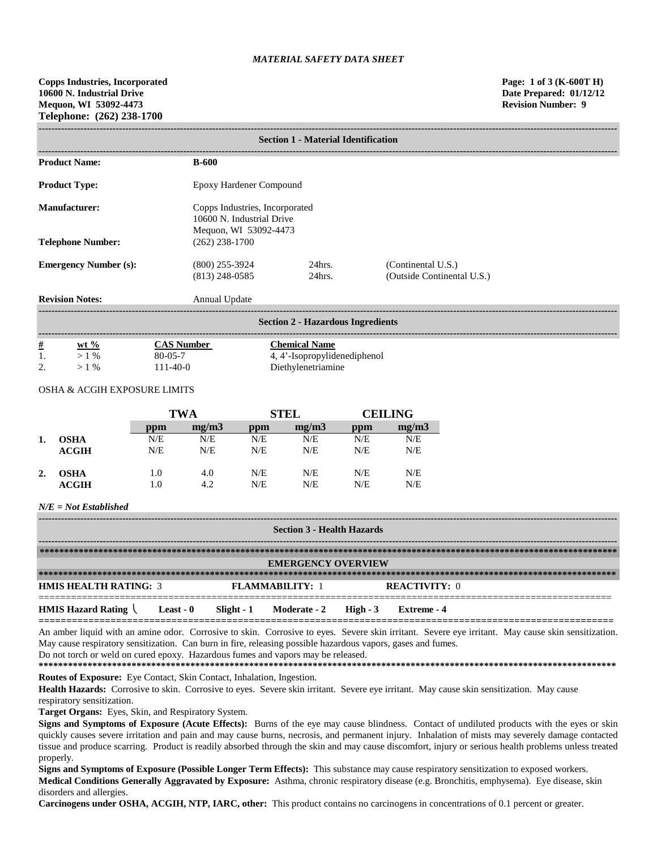| <b>Section 1 - Material Identification</b> |                                                                                      |                        |                                                  |  |  |  |
|--------------------------------------------|--------------------------------------------------------------------------------------|------------------------|--------------------------------------------------|--|--|--|
| <b>Product Name:</b>                       | <b>B-600</b>                                                                         |                        |                                                  |  |  |  |
| <b>Product Type:</b>                       | Epoxy Hardener Compound                                                              |                        |                                                  |  |  |  |
| Manufacturer:                              | Copps Industries, Incorporated<br>10600 N. Industrial Drive<br>Mequon, WI 53092-4473 |                        |                                                  |  |  |  |
| <b>Telephone Number:</b>                   | $(262)$ 238-1700                                                                     |                        |                                                  |  |  |  |
| <b>Emergency Number (s):</b>               | $(800)$ 255-3924<br>$(813)$ 248-0585                                                 | $24$ hrs.<br>$24$ hrs. | (Continental U.S.)<br>(Outside Continental U.S.) |  |  |  |
| <b>Revision Notes:</b>                     | Annual Update                                                                        |                        |                                                  |  |  |  |
| <b>Section 2 - Hazardous Ingredients</b>   |                                                                                      |                        |                                                  |  |  |  |

| $\#$                 | $wt \%$ | Number        | Chemical Name            |
|----------------------|---------|---------------|--------------------------|
| . .                  | $\%$    | $80 - 05 - 7$ | '-Isopropylidenediphenol |
| $\gamma$<br><u>.</u> | $\%$    | $1-40-0$      | Diethvlenetriamine       |

## OSHA & ACGIH EXPOSURE LIMITS

|    |             | <b>TWA</b> |       | <b>STEL</b> |       | <b>CEILING</b> |       |
|----|-------------|------------|-------|-------------|-------|----------------|-------|
|    |             | ppm        | mg/m3 | ppm         | mg/m3 | ppm            | mg/m3 |
| 1. | <b>OSHA</b> | N/E        | N/E   | N/E         | N/E   | N/E            | N/E   |
|    | ACGIH       | N/E        | N/E   | N/E         | N/E   | N/E            | N/E   |
| 2. | <b>OSHA</b> | 1.0        | 4.0   | N/E         | N/E   | N/E            | N/E   |
|    | ACGIH       | 1.0        | 4.2   | N/E         | N/E   | N/E            | N/E   |

# *N/E = Not Established*

| <b>Section 3 - Health Hazards</b> |                  |             |                           |          |                      |  |
|-----------------------------------|------------------|-------------|---------------------------|----------|----------------------|--|
|                                   |                  |             |                           |          |                      |  |
|                                   |                  |             |                           |          |                      |  |
|                                   |                  |             | <b>EMERGENCY OVERVIEW</b> |          |                      |  |
|                                   |                  |             |                           |          |                      |  |
| <b>HMIS HEALTH RATING: 3</b>      |                  |             | <b>FLAMMARILITY: 1</b>    |          | <b>REACTIVITY: 0</b> |  |
| <b>HMIS Hazard Rating</b>         | <b>Least - 0</b> | Slight $-1$ | <b>Moderate - 2</b>       | High - 3 | Extreme - 4          |  |

An amber liquid with an amine odor. Corrosive to skin. Corrosive to eyes. Severe skin irritant. Severe eye irritant. May cause skin sensitization. May cause respiratory sensitization. Can burn in fire, releasing possible hazardous vapors, gases and fumes. Do not torch or weld on cured epoxy. Hazardous fumes and vapors may be released.

**========================================================================================================**

**\*\*\*\*\*\*\*\*\*\*\*\*\*\*\*\*\*\*\*\*\*\*\*\*\*\*\*\*\*\*\*\*\*\*\*\*\*\*\*\*\*\*\*\*\*\*\*\*\*\*\*\*\*\*\*\*\*\*\*\*\*\*\*\*\*\*\*\*\*\*\*\*\*\*\*\*\*\*\*\*\*\*\*\*\*\*\*\*\*\*\*\*\*\*\*\*\*\*\*\*\*\*\*\*\*\*\*\*\*\*\*\*\*\*\*\*\*\* Routes of Exposure:** Eye Contact, Skin Contact, Inhalation, Ingestion.

Health Hazards: Corrosive to skin. Corrosive to eyes. Severe skin irritant. Severe eye irritant. May cause skin sensitization. May cause respiratory sensitization.

**Target Organs:** Eyes, Skin, and Respiratory System.

**Signs and Symptoms of Exposure (Acute Effects):** Burns of the eye may cause blindness. Contact of undiluted products with the eyes or skin quickly causes severe irritation and pain and may cause burns, necrosis, and permanent injury. Inhalation of mists may severely damage contacted tissue and produce scarring. Product is readily absorbed through the skin and may cause discomfort, injury or serious health problems unless treated properly.

**Signs and Symptoms of Exposure (Possible Longer Term Effects):** This substance may cause respiratory sensitization to exposed workers. **Medical Conditions Generally Aggravated by Exposure:** Asthma, chronic respiratory disease (e.g. Bronchitis, emphysema). Eye disease, skin disorders and allergies.

**Carcinogens under OSHA, ACGIH, NTP, IARC, other:** This product contains no carcinogens in concentrations of 0.1 percent or greater.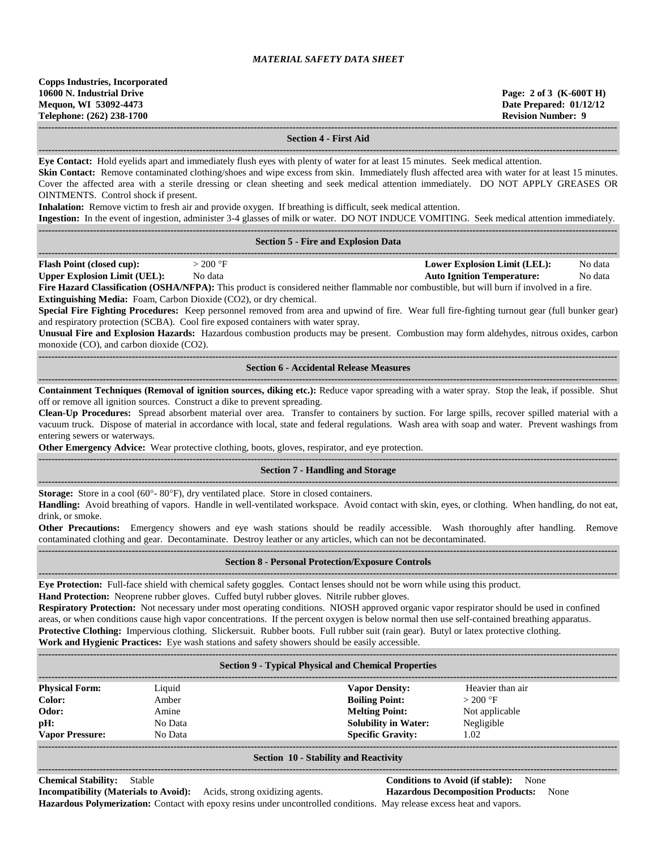**------------------------------------------------------------------------------------------------------------------------------------------------------------------------------------**

**------------------------------------------------------------------------------------------------------------------------------------------------------------------------------------**

### **Section 4 - First Aid**

**Eye Contact:** Hold eyelids apart and immediately flush eyes with plenty of water for at least 15 minutes. Seek medical attention.

Skin Contact: Remove contaminated clothing/shoes and wipe excess from skin. Immediately flush affected area with water for at least 15 minutes. Cover the affected area with a sterile dressing or clean sheeting and seek medical attention immediately. DO NOT APPLY GREASES OR OINTMENTS. Control shock if present.

**Inhalation:** Remove victim to fresh air and provide oxygen. If breathing is difficult, seek medical attention.

**Ingestion:** In the event of ingestion, administer 3-4 glasses of milk or water. DO NOT INDUCE VOMITING. Seek medical attention immediately.

|                                                                          |                                            | <b>Ingestion:</b> In the event of ingestion, administer 3-4 glasses of milk or water. DO NOT INDUCE VOMITING. Seek medical attention immediately. |         |
|--------------------------------------------------------------------------|--------------------------------------------|---------------------------------------------------------------------------------------------------------------------------------------------------|---------|
|                                                                          |                                            |                                                                                                                                                   |         |
|                                                                          | <b>Section 5 - Fire and Explosion Data</b> |                                                                                                                                                   |         |
|                                                                          |                                            |                                                                                                                                                   |         |
| <b>Flash Point (closed cup):</b>                                         | $>200$ °F                                  | <b>Lower Explosion Limit (LEL):</b>                                                                                                               | No data |
| <b>Upper Explosion Limit (UEL):</b>                                      | No data                                    | <b>Auto Ignition Temperature:</b>                                                                                                                 | No data |
|                                                                          |                                            | Fire Hazard Classification (OSHA/NFPA): This product is considered neither flammable nor combustible, but will burn if involved in a fire.        |         |
| <b>Extinguishing Media:</b> Foam, Carbon Dioxide (CO2), or dry chemical. |                                            |                                                                                                                                                   |         |
|                                                                          |                                            | Special Fire Fighting Procedures: Keep personnel removed from area and upwind of fire. Wear full fire-fighting turnout gear (full bunker gear)    |         |

and respiratory protection (SCBA). Cool fire exposed containers with water spray.

**Unusual Fire and Explosion Hazards:** Hazardous combustion products may be present. Combustion may form aldehydes, nitrous oxides, carbon monoxide (CO), and carbon dioxide (CO2). **------------------------------------------------------------------------------------------------------------------------------------------------------------------------------------**

### **Section 6 - Accidental Release Measures**

**------------------------------------------------------------------------------------------------------------------------------------------------------------------------------------ Containment Techniques (Removal of ignition sources, diking etc.):** Reduce vapor spreading with a water spray. Stop the leak, if possible. Shut off or remove all ignition sources. Construct a dike to prevent spreading.

**Clean-Up Procedures:** Spread absorbent material over area. Transfer to containers by suction. For large spills, recover spilled material with a vacuum truck. Dispose of material in accordance with local, state and federal regulations. Wash area with soap and water. Prevent washings from entering sewers or waterways.

**Other Emergency Advice:** Wear protective clothing, boots, gloves, respirator, and eye protection. **------------------------------------------------------------------------------------------------------------------------------------------------------------------------------------**

## **Section 7 - Handling and Storage**

**------------------------------------------------------------------------------------------------------------------------------------------------------------------------------------ Storage:** Store in a cool (60°- 80°F), dry ventilated place. Store in closed containers.

**Handling:** Avoid breathing of vapors. Handle in well-ventilated workspace. Avoid contact with skin, eyes, or clothing. When handling, do not eat, drink, or smoke.

**Other Precautions:** Emergency showers and eye wash stations should be readily accessible. Wash thoroughly after handling. Remove contaminated clothing and gear. Decontaminate. Destroy leather or any articles, which can not be decontaminated. **------------------------------------------------------------------------------------------------------------------------------------------------------------------------------------**

#### **Section 8 - Personal Protection/Exposure Controls ------------------------------------------------------------------------------------------------------------------------------------------------------------------------------------**

**Eye Protection:** Full-face shield with chemical safety goggles. Contact lenses should not be worn while using this product. **Hand Protection:** Neoprene rubber gloves. Cuffed butyl rubber gloves. Nitrile rubber gloves.

**Respiratory Protection:** Not necessary under most operating conditions. NIOSH approved organic vapor respirator should be used in confined areas, or when conditions cause high vapor concentrations. If the percent oxygen is below normal then use self-contained breathing apparatus. **Protective Clothing:** Impervious clothing. Slickersuit. Rubber boots. Full rubber suit (rain gear). Butyl or latex protective clothing.

**Work and Hygienic Practices:** Eye wash stations and safety showers should be easily accessible.

| <b>Section 9 - Typical Physical and Chemical Properties</b> |         |                             |                  |  |  |  |  |
|-------------------------------------------------------------|---------|-----------------------------|------------------|--|--|--|--|
| <b>Physical Form:</b>                                       | Liquid  | <b>Vapor Density:</b>       | Heavier than air |  |  |  |  |
| Color:                                                      | Amber   | <b>Boiling Point:</b>       | $>200$ °F        |  |  |  |  |
| Odor:                                                       | Amine   | <b>Melting Point:</b>       | Not applicable   |  |  |  |  |
| pH:                                                         | No Data | <b>Solubility in Water:</b> | Negligible       |  |  |  |  |
| <b>Vapor Pressure:</b>                                      | No Data | <b>Specific Gravity:</b>    | 1.02             |  |  |  |  |
|                                                             |         |                             |                  |  |  |  |  |

#### **Section 10 - Stability and Reactivity**

**------------------------------------------------------------------------------------------------------------------------------------------------------------------------------------**

**Chemical Stability:** Stable **Conditions to Avoid (if stable):** None **Incompatibility (Materials to Avoid):** Acids, strong oxidizing agents. **Hazardous Decomposition Products:** None **Hazardous Polymerization:** Contact with epoxy resins under uncontrolled conditions. May release excess heat and vapors.